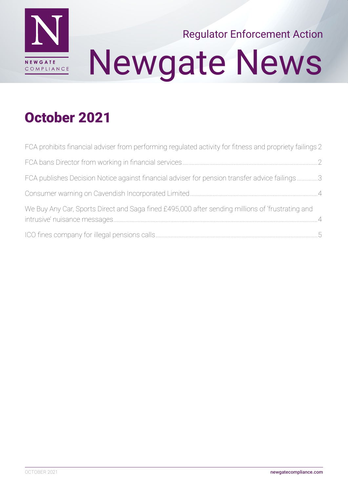

# Newgate News Regulator Enforcement Action

#### October 2021

| FCA prohibits financial adviser from performing regulated activity for fitness and propriety failings 2 |  |
|---------------------------------------------------------------------------------------------------------|--|
|                                                                                                         |  |
| FCA publishes Decision Notice against financial adviser for pension transfer advice failings3           |  |
|                                                                                                         |  |
| We Buy Any Car, Sports Direct and Saga fined £495,000 after sending millions of 'frustrating and        |  |
|                                                                                                         |  |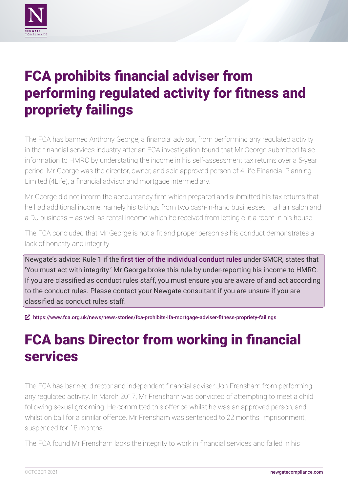<span id="page-1-0"></span>

## FCA prohibits financial adviser from performing regulated activity for fitness and propriety failings

The FCA has banned Anthony George, a financial advisor, from performing any regulated activity in the financial services industry after an FCA investigation found that Mr George submitted false information to HMRC by understating the income in his self-assessment tax returns over a 5-year period. Mr George was the director, owner, and sole approved person of 4Life Financial Planning Limited (4Life), a financial advisor and mortgage intermediary.

Mr George did not inform the accountancy firm which prepared and submitted his tax returns that he had additional income, namely his takings from two cash-in-hand businesses – a hair salon and a DJ business – as well as rental income which he received from letting out a room in his house.

The FCA concluded that Mr George is not a fit and proper person as his conduct demonstrates a lack of honesty and integrity.

Newgate's advice: Rule 1 if the [first tier of the individual conduct rules](https://www.handbook.fca.org.uk/handbook/COCON/2/1.html) under SMCR, states that 'You must act with integrity.' Mr George broke this rule by under-reporting his income to HMRC. If you are classified as conduct rules staff, you must ensure you are aware of and act according to the conduct rules. Please contact your Newgate consultant if you are unsure if you are classified as conduct rules staff.

ȧ <https://www.fca.org.uk/news/news-stories/fca-prohibits-ifa-mortgage-adviser-fitness-propriety-failings>

## FCA bans Director from working in financial services

The FCA has banned director and independent financial adviser Jon Frensham from performing any regulated activity. In March 2017, Mr Frensham was convicted of attempting to meet a child following sexual grooming. He committed this offence whilst he was an approved person, and whilst on bail for a similar offence. Mr Frensham was sentenced to 22 months' imprisonment, suspended for 18 months.

The FCA found Mr Frensham lacks the integrity to work in financial services and failed in his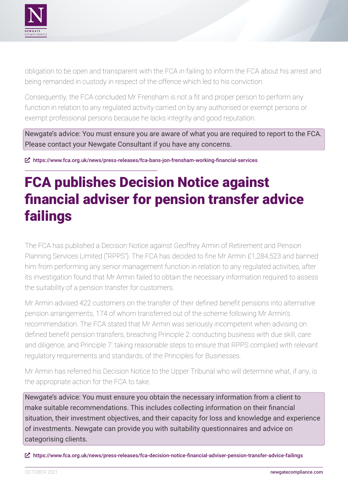<span id="page-2-0"></span>

obligation to be open and transparent with the FCA in failing to inform the FCA about his arrest and being remanded in custody in respect of the offence which led to his conviction.

Consequently, the FCA concluded Mr Frensham is not a fit and proper person to perform any function in relation to any regulated activity carried on by any authorised or exempt persons or exempt professional persons because he lacks integrity and good reputation.

Newgate's advice: You must ensure you are aware of what you are required to report to the FCA. Please contact your Newgate Consultant if you have any concerns.

ȧ <https://www.fca.org.uk/news/press-releases/fca-bans-jon-frensham-working-financial-services>

### FCA publishes Decision Notice against financial adviser for pension transfer advice failings

The FCA has published a Decision Notice against Geoffrey Armin of Retirement and Pension Planning Services Limited ("RPPS"). The FCA has decided to fine Mr Armin £1,284,523 and banned him from performing any senior management function in relation to any regulated activities, after its investigation found that Mr Armin failed to obtain the necessary information required to assess the suitability of a pension transfer for customers.

Mr Armin advised 422 customers on the transfer of their defined benefit pensions into alternative pension arrangements, 174 of whom transferred out of the scheme following Mr Armin's recommendation. The FCA stated that Mr Armin was seriously incompetent when advising on defined benefit pension transfers, breaching Principle 2: conducting business with due skill, care and diligence, and Principle 7: taking reasonable steps to ensure that RPPS complied with relevant regulatory requirements and standards, of the Principles for Businesses.

Mr Armin has referred his Decision Notice to the Upper Tribunal who will determine what, if any, is the appropriate action for the FCA to take.

Newgate's advice: You must ensure you obtain the necessary information from a client to make suitable recommendations. This includes collecting information on their financial situation, their investment objectives, and their capacity for loss and knowledge and experience of investments. Newgate can provide you with suitability questionnaires and advice on categorising clients.

ȧ <https://www.fca.org.uk/news/press-releases/fca-decision-notice-financial-adviser-pension-transfer-advice-failings>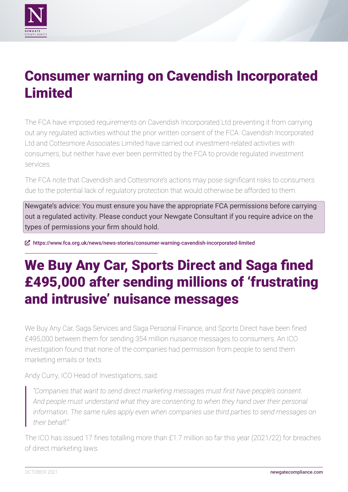<span id="page-3-0"></span>

#### Consumer warning on Cavendish Incorporated Limited

The FCA have imposed requirements on Cavendish Incorporated Ltd preventing it from carrying out any regulated activities without the prior written consent of the FCA. Cavendish Incorporated Ltd and Cottesmore Associates Limited have carried out investment-related activities with consumers, but neither have ever been permitted by the FCA to provide regulated investment services.

The FCA note that Cavendish and Cottesmore's actions may pose significant risks to consumers due to the potential lack of regulatory protection that would otherwise be afforded to them.

Newgate's advice: You must ensure you have the appropriate FCA permissions before carrying out a regulated activity. Please conduct your Newgate Consultant if you require advice on the types of permissions your firm should hold.

ȧ <https://www.fca.org.uk/news/news-stories/consumer-warning-cavendish-incorporated-limited>

## We Buy Any Car, Sports Direct and Saga fined £495,000 after sending millions of 'frustrating and intrusive' nuisance messages

We Buy Any Car, Saga Services and Saga Personal Finance, and Sports Direct have been fined £495,000 between them for sending 354 million nuisance messages to consumers. An ICO investigation found that none of the companies had permission from people to send them marketing emails or texts.

Andy Curry, ICO Head of Investigations, said:

*"Companies that want to send direct marketing messages must first have people's consent. And people must understand what they are consenting to when they hand over their personal information. The same rules apply even when companies use third parties to send messages on their behalf."*

The ICO has issued 17 fines totalling more than £1.7 million so far this year (2021/22) for breaches of direct marketing laws.